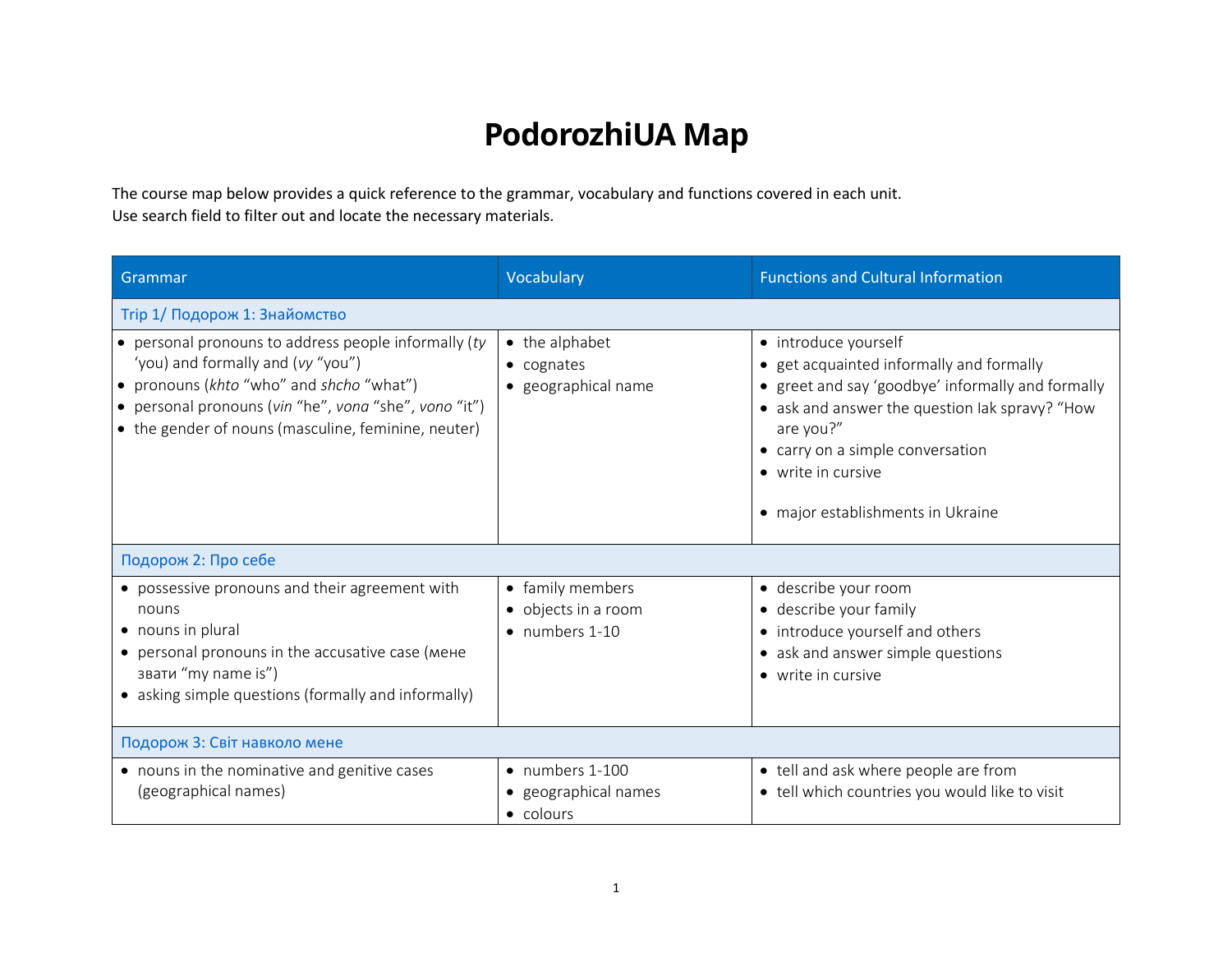## **PodorozhiUA Map**

The course map below provides a quick reference to the grammar, vocabulary and functions covered in each unit. Use search field to filter out and locate the necessary materials.

| Grammar                                                                                                                                                                                                                                               | Vocabulary                                                   | <b>Functions and Cultural Information</b>                                                                                                                                                                                                                                           |
|-------------------------------------------------------------------------------------------------------------------------------------------------------------------------------------------------------------------------------------------------------|--------------------------------------------------------------|-------------------------------------------------------------------------------------------------------------------------------------------------------------------------------------------------------------------------------------------------------------------------------------|
| Trip 1/ Подорож 1: Знайомство                                                                                                                                                                                                                         |                                                              |                                                                                                                                                                                                                                                                                     |
| • personal pronouns to address people informally (ty<br>'you) and formally and (vy "you")<br>• pronouns (khto "who" and shcho "what")<br>• personal pronouns (vin "he", vona "she", vono "it")<br>• the gender of nouns (masculine, feminine, neuter) | • the alphabet<br>• cognates<br>· geographical name          | • introduce yourself<br>• get acquainted informally and formally<br>• greet and say 'goodbye' informally and formally<br>• ask and answer the question lak spravy? "How<br>are you?"<br>• carry on a simple conversation<br>• write in cursive<br>• major establishments in Ukraine |
| Подорож 2: Про себе                                                                                                                                                                                                                                   |                                                              |                                                                                                                                                                                                                                                                                     |
| • possessive pronouns and their agreement with<br>nouns<br>• nouns in plural<br>• personal pronouns in the accusative case (мене<br>звати "my name is")<br>• asking simple questions (formally and informally)                                        | • family members<br>• objects in a room<br>• numbers 1-10    | · describe your room<br>• describe your family<br>• introduce yourself and others<br>• ask and answer simple questions<br>• write in cursive                                                                                                                                        |
| Подорож 3: Світ навколо мене                                                                                                                                                                                                                          |                                                              |                                                                                                                                                                                                                                                                                     |
| • nouns in the nominative and genitive cases<br>(geographical names)                                                                                                                                                                                  | $\bullet$ numbers 1-100<br>· geographical names<br>• colours | • tell and ask where people are from<br>• tell which countries you would like to visit                                                                                                                                                                                              |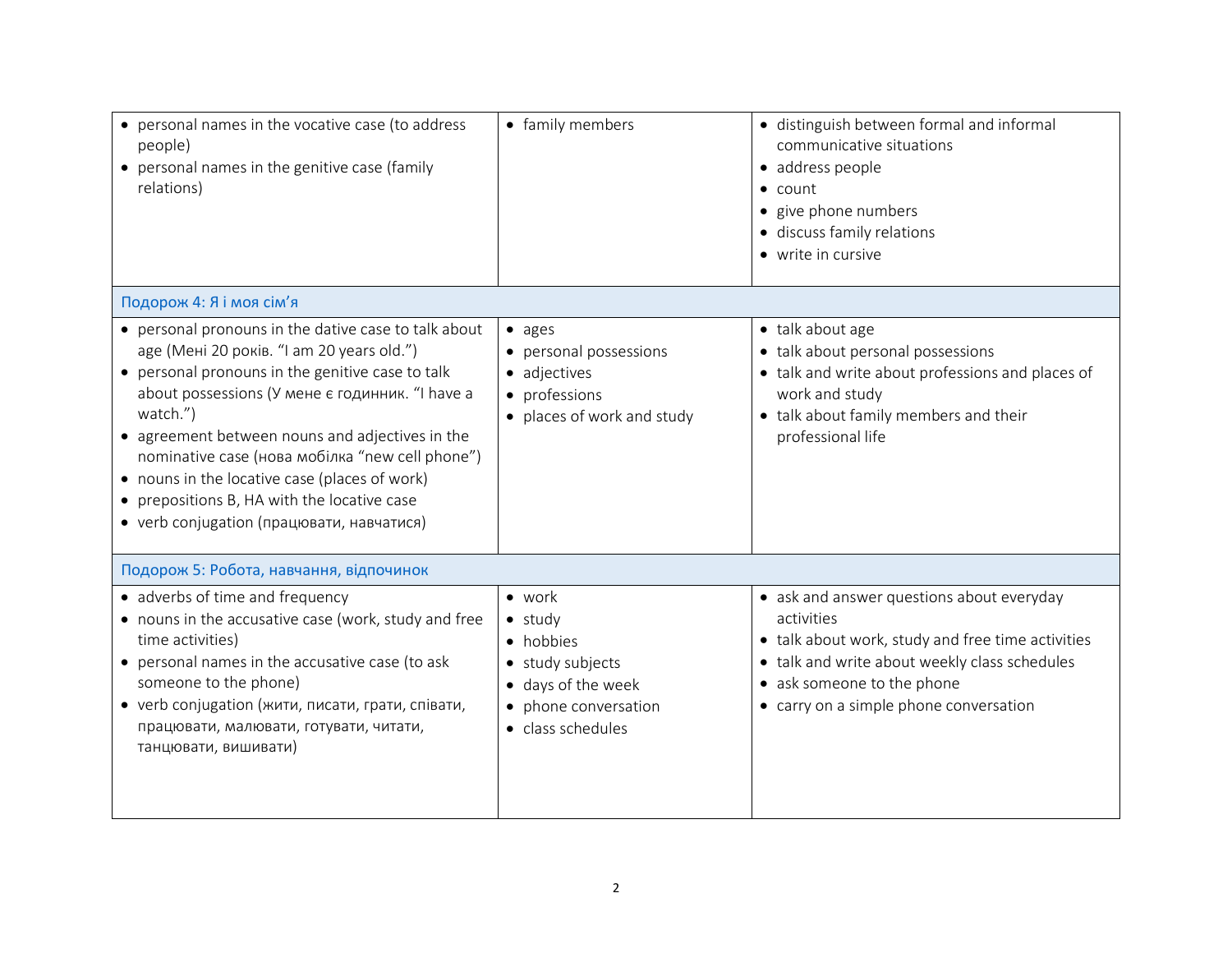| • personal names in the vocative case (to address<br>people)<br>• personal names in the genitive case (family<br>relations)                                                                                                                                                                                                                                                                                                                                             | • family members                                                                                                                      | · distinguish between formal and informal<br>communicative situations<br>• address people<br>$\bullet$ count<br>• give phone numbers<br>· discuss family relations<br>• write in cursive                                              |
|-------------------------------------------------------------------------------------------------------------------------------------------------------------------------------------------------------------------------------------------------------------------------------------------------------------------------------------------------------------------------------------------------------------------------------------------------------------------------|---------------------------------------------------------------------------------------------------------------------------------------|---------------------------------------------------------------------------------------------------------------------------------------------------------------------------------------------------------------------------------------|
| Подорож 4: Я і моя сім'я                                                                                                                                                                                                                                                                                                                                                                                                                                                |                                                                                                                                       |                                                                                                                                                                                                                                       |
| • personal pronouns in the dative case to talk about<br>age (Мені 20 років. "I am 20 years old.")<br>• personal pronouns in the genitive case to talk<br>about possessions (У мене є годинник. "I have a<br>watch.")<br>• agreement between nouns and adjectives in the<br>nominative case (нова мобілка "new cell phone")<br>• nouns in the locative case (places of work)<br>• prepositions B, HA with the locative case<br>• verb conjugation (працювати, навчатися) | $\bullet$ ages<br>• personal possessions<br>• adjectives<br>• professions<br>• places of work and study                               | • talk about age<br>• talk about personal possessions<br>• talk and write about professions and places of<br>work and study<br>• talk about family members and their<br>professional life                                             |
| Подорож 5: Робота, навчання, відпочинок                                                                                                                                                                                                                                                                                                                                                                                                                                 |                                                                                                                                       |                                                                                                                                                                                                                                       |
| • adverbs of time and frequency<br>• nouns in the accusative case (work, study and free<br>time activities)<br>• personal names in the accusative case (to ask<br>someone to the phone)<br>• verb conjugation (жити, писати, грати, співати,<br>працювати, малювати, готувати, читати,<br>танцювати, вишивати)                                                                                                                                                          | $\bullet$ work<br>$\bullet$ study<br>• hobbies<br>• study subjects<br>• days of the week<br>• phone conversation<br>• class schedules | • ask and answer questions about everyday<br>activities<br>• talk about work, study and free time activities<br>• talk and write about weekly class schedules<br>• ask someone to the phone<br>• carry on a simple phone conversation |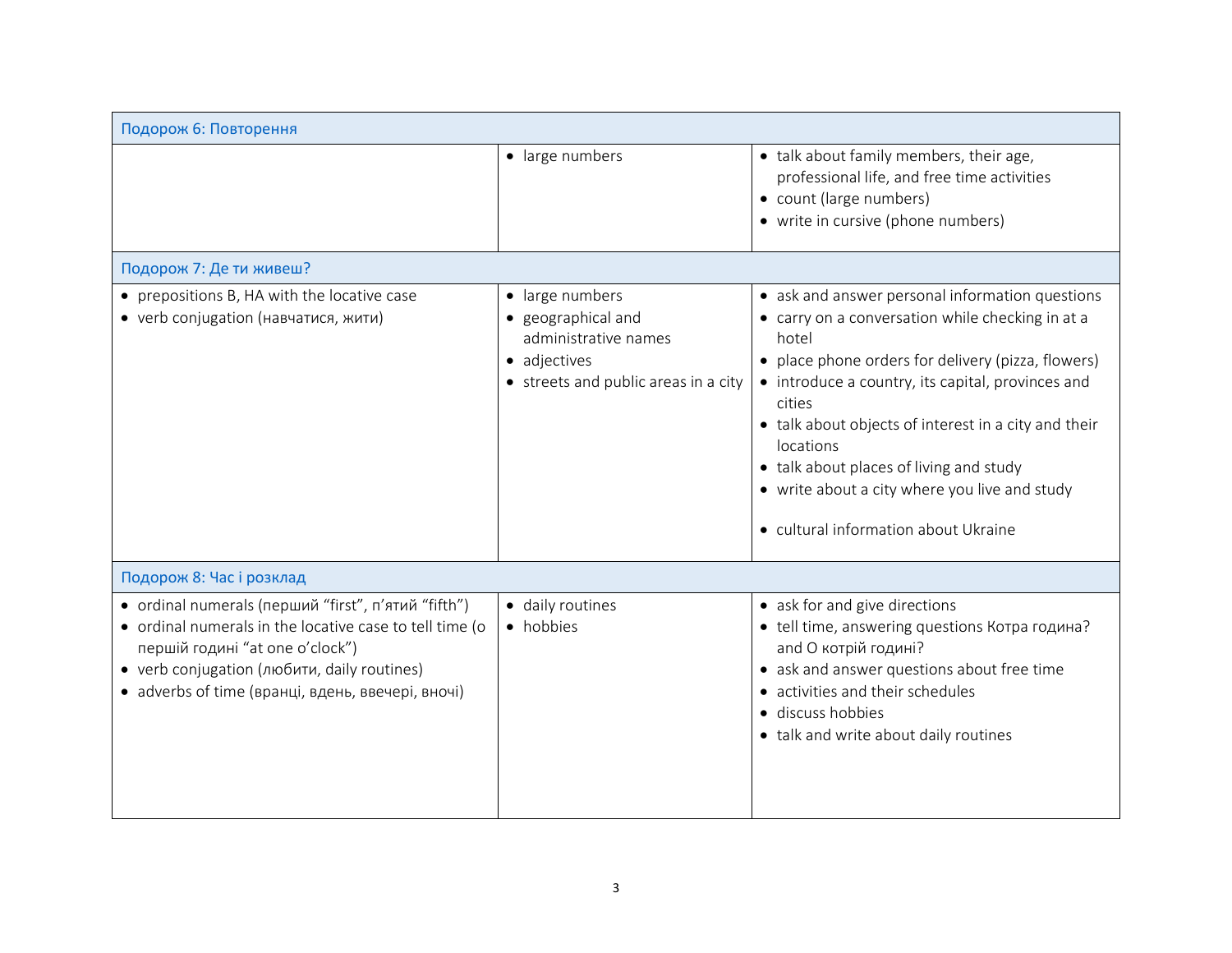| Подорож 6: Повторення                                                                                                                                                                                                                                 |                                                                                                                       |                                                                                                                                                                                                                                                                                                                                                                                                                                            |
|-------------------------------------------------------------------------------------------------------------------------------------------------------------------------------------------------------------------------------------------------------|-----------------------------------------------------------------------------------------------------------------------|--------------------------------------------------------------------------------------------------------------------------------------------------------------------------------------------------------------------------------------------------------------------------------------------------------------------------------------------------------------------------------------------------------------------------------------------|
|                                                                                                                                                                                                                                                       | · large numbers                                                                                                       | • talk about family members, their age,<br>professional life, and free time activities<br>• count (large numbers)<br>• write in cursive (phone numbers)                                                                                                                                                                                                                                                                                    |
| Подорож 7: Де ти живеш?                                                                                                                                                                                                                               |                                                                                                                       |                                                                                                                                                                                                                                                                                                                                                                                                                                            |
| • prepositions B, HA with the locative case<br>• verb conjugation (навчатися, жити)                                                                                                                                                                   | • large numbers<br>· geographical and<br>administrative names<br>• adjectives<br>• streets and public areas in a city | • ask and answer personal information questions<br>• carry on a conversation while checking in at a<br>hotel<br>• place phone orders for delivery (pizza, flowers)<br>• introduce a country, its capital, provinces and<br>cities<br>• talk about objects of interest in a city and their<br>locations<br>• talk about places of living and study<br>• write about a city where you live and study<br>• cultural information about Ukraine |
| Подорож 8: Час і розклад                                                                                                                                                                                                                              |                                                                                                                       |                                                                                                                                                                                                                                                                                                                                                                                                                                            |
| • ordinal numerals (перший "first", п'ятий "fifth")<br>• ordinal numerals in the locative case to tell time (o<br>першій годині "at one o'clock")<br>• verb conjugation (любити, daily routines)<br>• adverbs of time (вранці, вдень, ввечері, вночі) | · daily routines<br>• hobbies                                                                                         | • ask for and give directions<br>• tell time, answering questions Котра година?<br>and О котрій годині?<br>• ask and answer questions about free time<br>• activities and their schedules<br>· discuss hobbies<br>• talk and write about daily routines                                                                                                                                                                                    |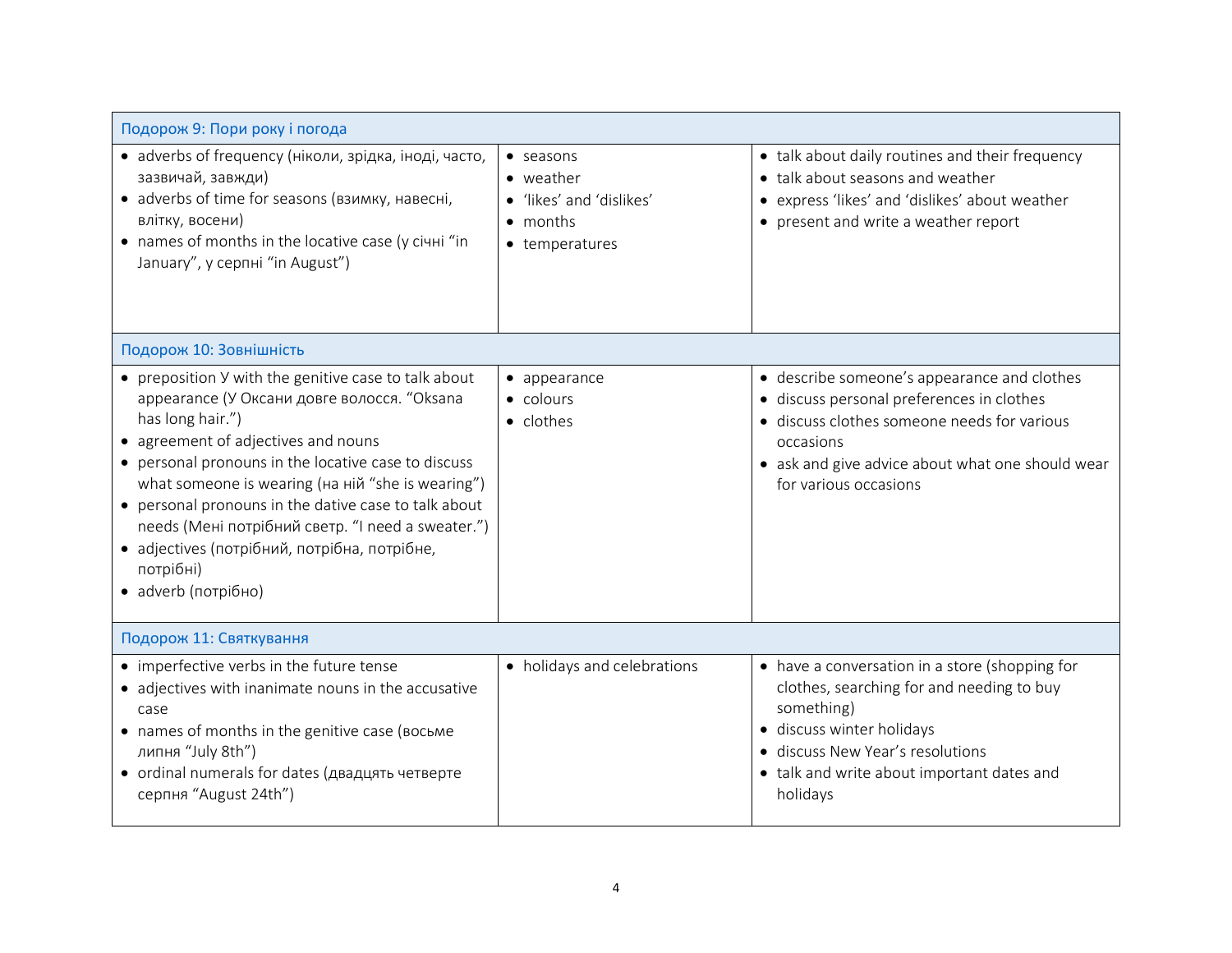| Подорож 9: Пори року і погода                                                                                                                                                                                                                                                                                                                                                                                                                                               |                                                                                                          |                                                                                                                                                                                                                                      |
|-----------------------------------------------------------------------------------------------------------------------------------------------------------------------------------------------------------------------------------------------------------------------------------------------------------------------------------------------------------------------------------------------------------------------------------------------------------------------------|----------------------------------------------------------------------------------------------------------|--------------------------------------------------------------------------------------------------------------------------------------------------------------------------------------------------------------------------------------|
| • adverbs of frequency (ніколи, зрідка, іноді, часто,<br>зазвичай, завжди)<br>• adverbs of time for seasons (взимку, навесні,<br>влітку, восени)<br>• names of months in the locative case (y civili "in<br>January", у серпні "in August")                                                                                                                                                                                                                                 | $\bullet$ seasons<br>$\bullet$ weather<br>· 'likes' and 'dislikes'<br>$\bullet$ months<br>• temperatures | • talk about daily routines and their frequency<br>• talk about seasons and weather<br>• express 'likes' and 'dislikes' about weather<br>• present and write a weather report                                                        |
| Подорож 10: Зовнішність                                                                                                                                                                                                                                                                                                                                                                                                                                                     |                                                                                                          |                                                                                                                                                                                                                                      |
| • preposition Y with the genitive case to talk about<br>appearance (У Оксани довге волосся. "Oksana<br>has long hair.")<br>• agreement of adjectives and nouns<br>• personal pronouns in the locative case to discuss<br>what someone is wearing (на ній "she is wearing")<br>• personal pronouns in the dative case to talk about<br>needs (Мені потрібний светр. "I need a sweater.")<br>• adjectives (потрібний, потрібна, потрібне,<br>потрібні)<br>• adverb (потрібно) | $\bullet$ appearance<br>• colours<br>• clothes                                                           | • describe someone's appearance and clothes<br>· discuss personal preferences in clothes<br>· discuss clothes someone needs for various<br>occasions<br>• ask and give advice about what one should wear<br>for various occasions    |
| Подорож 11: Святкування                                                                                                                                                                                                                                                                                                                                                                                                                                                     |                                                                                                          |                                                                                                                                                                                                                                      |
| • imperfective verbs in the future tense<br>• adjectives with inanimate nouns in the accusative<br>case<br>• names of months in the genitive case (восьме<br>липня "July 8th")<br>• ordinal numerals for dates (двадцять четверте<br>серпня "August 24th")                                                                                                                                                                                                                  | • holidays and celebrations                                                                              | • have a conversation in a store (shopping for<br>clothes, searching for and needing to buy<br>something)<br>· discuss winter holidays<br>· discuss New Year's resolutions<br>• talk and write about important dates and<br>holidays |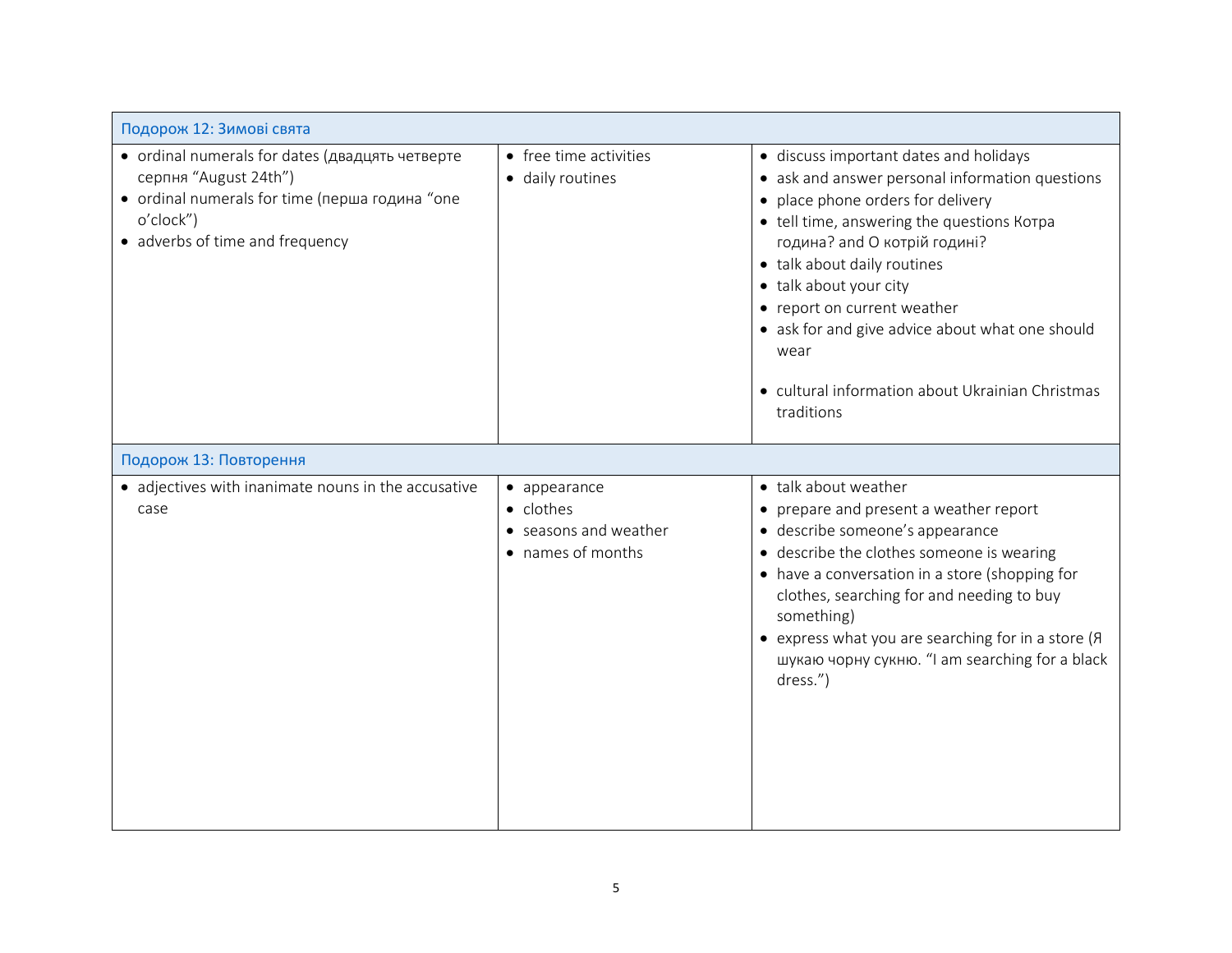| Подорож 12: Зимові свята                                                                                                                                                   |                                                                         |                                                                                                                                                                                                                                                                                                                                                                                                                                 |
|----------------------------------------------------------------------------------------------------------------------------------------------------------------------------|-------------------------------------------------------------------------|---------------------------------------------------------------------------------------------------------------------------------------------------------------------------------------------------------------------------------------------------------------------------------------------------------------------------------------------------------------------------------------------------------------------------------|
| • ordinal numerals for dates (двадцять четверте<br>серпня "August 24th")<br>• ordinal numerals for time (перша година "one<br>o'clock")<br>• adverbs of time and frequency | • free time activities<br>· daily routines                              | · discuss important dates and holidays<br>• ask and answer personal information questions<br>place phone orders for delivery<br>• tell time, answering the questions Korpa<br>година? and О котрій годині?<br>• talk about daily routines<br>• talk about your city<br>• report on current weather<br>• ask for and give advice about what one should<br>wear<br>• cultural information about Ukrainian Christmas<br>traditions |
| Подорож 13: Повторення                                                                                                                                                     |                                                                         |                                                                                                                                                                                                                                                                                                                                                                                                                                 |
| • adjectives with inanimate nouns in the accusative<br>case                                                                                                                | • appearance<br>• clothes<br>• seasons and weather<br>• names of months | • talk about weather<br>• prepare and present a weather report<br>· describe someone's appearance<br>• describe the clothes someone is wearing<br>• have a conversation in a store (shopping for<br>clothes, searching for and needing to buy<br>something)<br>• express what you are searching for in a store (R<br>шукаю чорну сукню. "I am searching for a black<br>dress.")                                                 |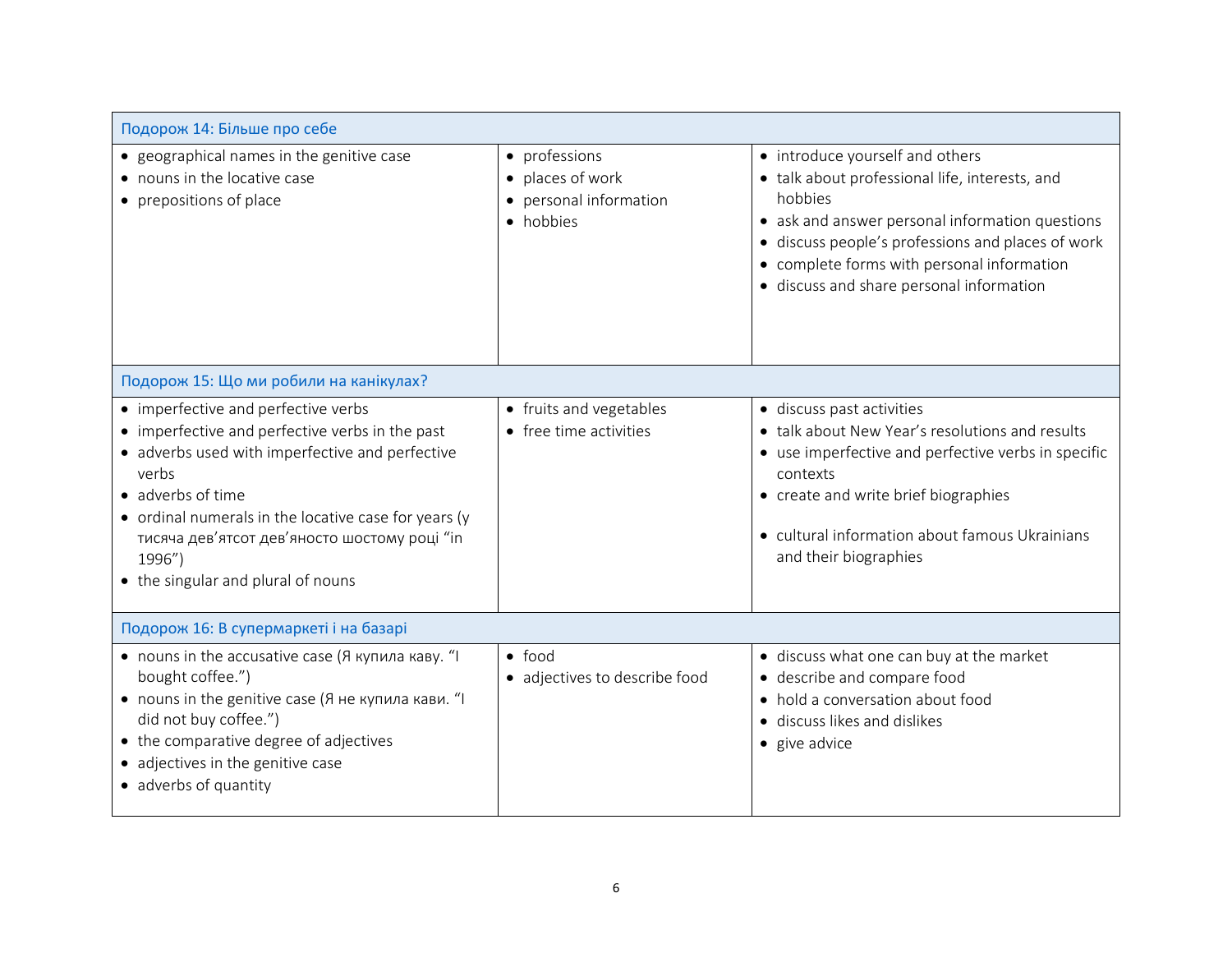| Подорож 14: Більше про себе                                                                                                                                                                                                                                                                                                     |                                                                                     |                                                                                                                                                                                                                                                                                                |
|---------------------------------------------------------------------------------------------------------------------------------------------------------------------------------------------------------------------------------------------------------------------------------------------------------------------------------|-------------------------------------------------------------------------------------|------------------------------------------------------------------------------------------------------------------------------------------------------------------------------------------------------------------------------------------------------------------------------------------------|
| • geographical names in the genitive case<br>• nouns in the locative case<br>• prepositions of place                                                                                                                                                                                                                            | • professions<br>• places of work<br>personal information<br>$\bullet$<br>• hobbies | • introduce yourself and others<br>• talk about professional life, interests, and<br>hobbies<br>• ask and answer personal information questions<br>· discuss people's professions and places of work<br>• complete forms with personal information<br>· discuss and share personal information |
| Подорож 15: Що ми робили на канікулах?                                                                                                                                                                                                                                                                                          |                                                                                     |                                                                                                                                                                                                                                                                                                |
| • imperfective and perfective verbs<br>• imperfective and perfective verbs in the past<br>• adverbs used with imperfective and perfective<br>verbs<br>• adverbs of time<br>• ordinal numerals in the locative case for years (y<br>тисяча дев'ятсот дев'яносто шостому році "in<br>1996")<br>• the singular and plural of nouns | • fruits and vegetables<br>• free time activities                                   | · discuss past activities<br>• talk about New Year's resolutions and results<br>• use imperfective and perfective verbs in specific<br>contexts<br>• create and write brief biographies<br>• cultural information about famous Ukrainians<br>and their biographies                             |
| Подорож 16: В супермаркеті і на базарі                                                                                                                                                                                                                                                                                          |                                                                                     |                                                                                                                                                                                                                                                                                                |
| • nouns in the accusative case (Я купила каву. "I<br>bought coffee.")<br>• nouns in the genitive case (Я не купила кави. "I<br>did not buy coffee.")<br>• the comparative degree of adjectives<br>• adjectives in the genitive case<br>• adverbs of quantity                                                                    | $\bullet$ food<br>· adjectives to describe food                                     | • discuss what one can buy at the market<br>• describe and compare food<br>• hold a conversation about food<br>• discuss likes and dislikes<br>• give advice                                                                                                                                   |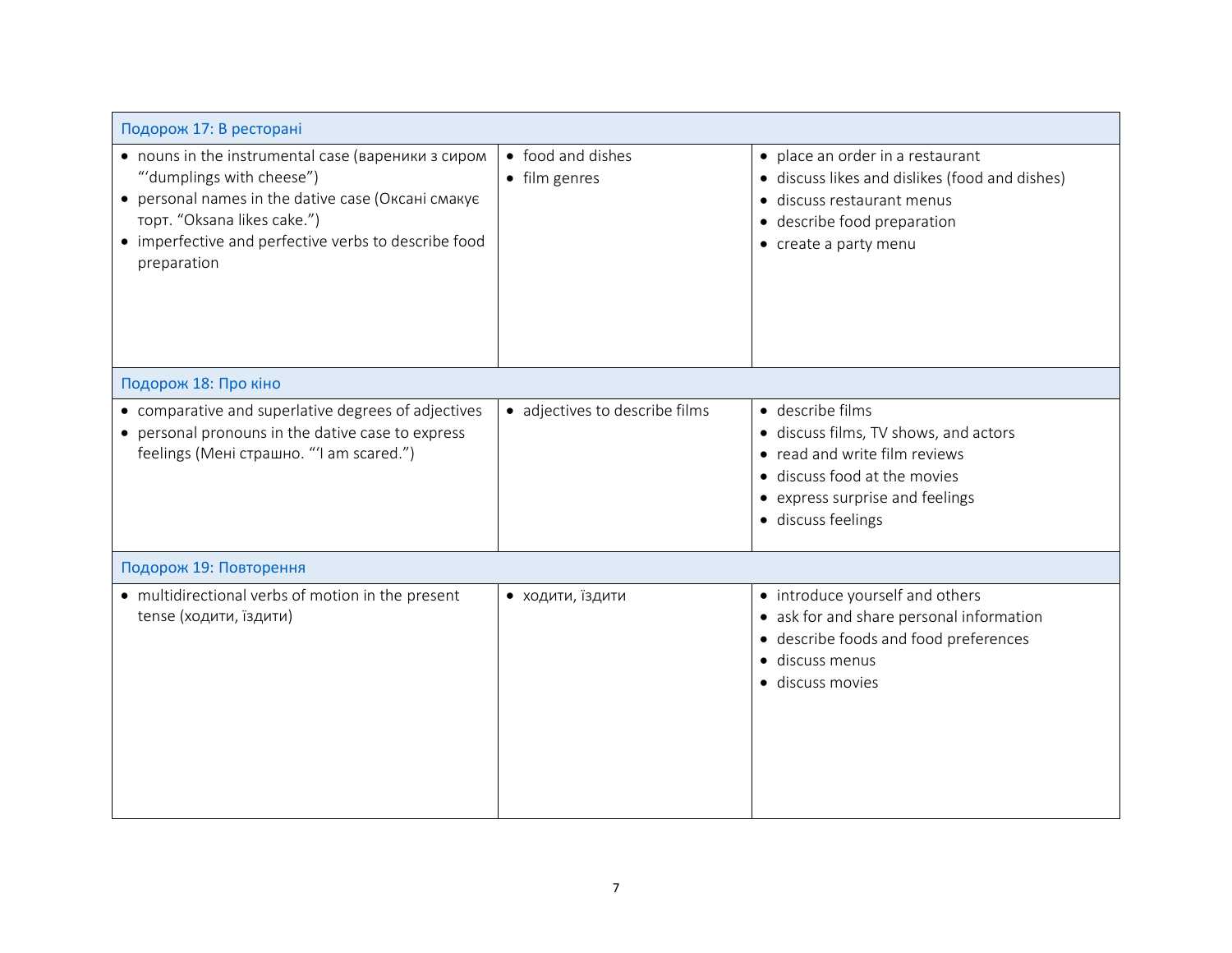| Подорож 17: В ресторані                                                                                                                                                                                                                     |                                    |                                                                                                                                                                                     |
|---------------------------------------------------------------------------------------------------------------------------------------------------------------------------------------------------------------------------------------------|------------------------------------|-------------------------------------------------------------------------------------------------------------------------------------------------------------------------------------|
| • nouns in the instrumental case (вареники з сиром<br>"'dumplings with cheese")<br>• personal names in the dative case (Оксані смакує<br>торт. "Oksana likes cake.")<br>• imperfective and perfective verbs to describe food<br>preparation | • food and dishes<br>• film genres | • place an order in a restaurant<br>• discuss likes and dislikes (food and dishes)<br>· discuss restaurant menus<br>• describe food preparation<br>• create a party menu            |
| Подорож 18: Про кіно                                                                                                                                                                                                                        |                                    |                                                                                                                                                                                     |
| • comparative and superlative degrees of adjectives<br>• personal pronouns in the dative case to express<br>feelings (Мені страшно. "'I am scared.")                                                                                        | • adjectives to describe films     | · describe films<br>· discuss films, TV shows, and actors<br>• read and write film reviews<br>• discuss food at the movies<br>• express surprise and feelings<br>· discuss feelings |
| Подорож 19: Повторення                                                                                                                                                                                                                      |                                    |                                                                                                                                                                                     |
| • multidirectional verbs of motion in the present<br>tense (ходити, їздити)                                                                                                                                                                 | • ходити, їздити                   | • introduce yourself and others<br>• ask for and share personal information<br>• describe foods and food preferences<br>· discuss menus<br>· discuss movies                         |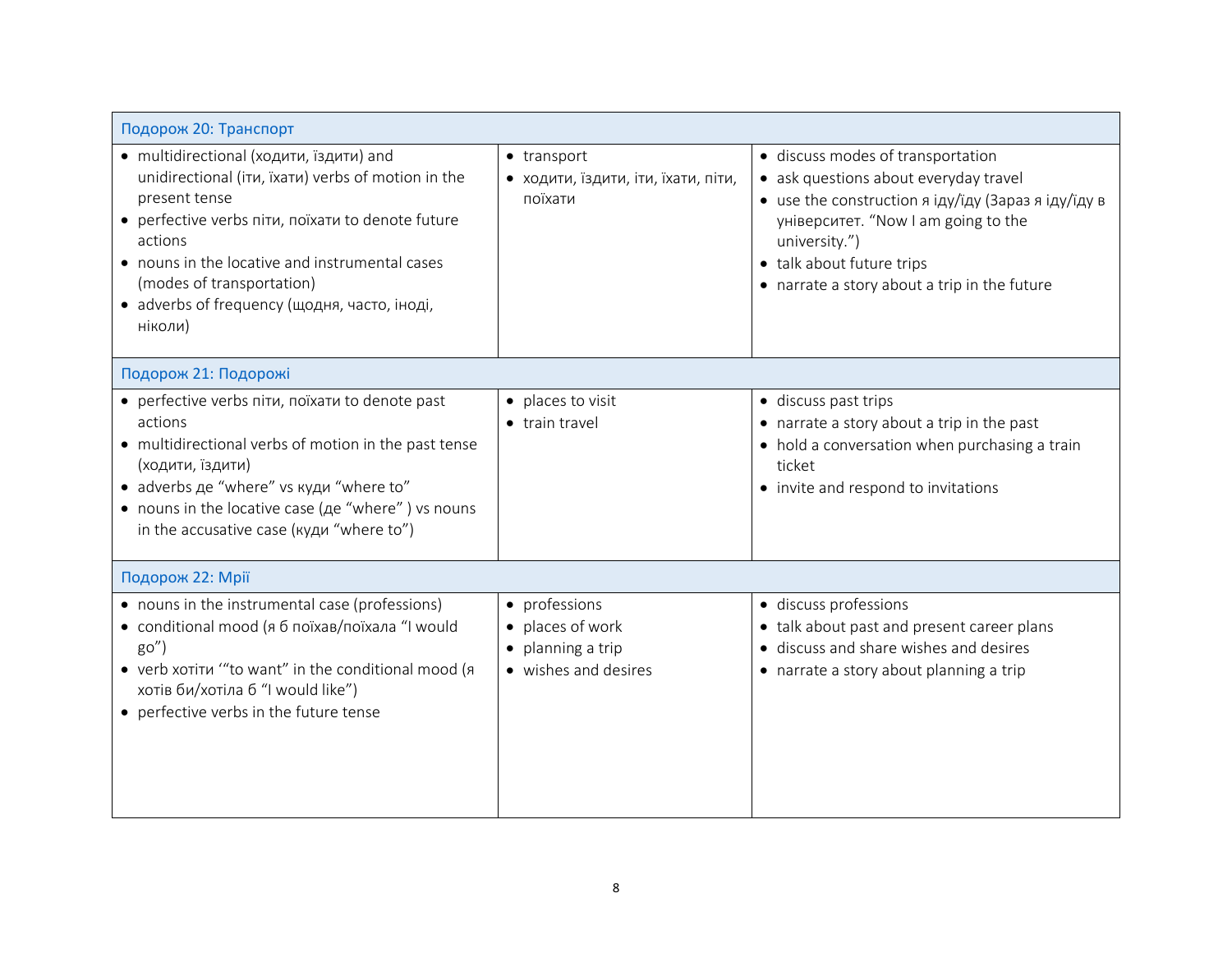| Подорож 20: Транспорт                                                                                                                                                                                                                                                                                                    |                                                                              |                                                                                                                                                                                                                                                                               |
|--------------------------------------------------------------------------------------------------------------------------------------------------------------------------------------------------------------------------------------------------------------------------------------------------------------------------|------------------------------------------------------------------------------|-------------------------------------------------------------------------------------------------------------------------------------------------------------------------------------------------------------------------------------------------------------------------------|
| • multidirectional (ходити, їздити) and<br>unidirectional (itu, ixatu) verbs of motion in the<br>present tense<br>• perfective verbs nitu, noïxatu to denote future<br>actions<br>• nouns in the locative and instrumental cases<br>(modes of transportation)<br>• adverbs of frequency (щодня, часто, іноді,<br>ніколи) | • transport<br>• ходити, їздити, іти, їхати, піти,<br>поїхати                | · discuss modes of transportation<br>• ask questions about everyday travel<br>• use the construction $\alpha$ igy/igy (Зараз я іду/іду в<br>університет. "Now I am going to the<br>university.")<br>• talk about future trips<br>• narrate a story about a trip in the future |
| Подорож 21: Подорожі                                                                                                                                                                                                                                                                                                     |                                                                              |                                                                                                                                                                                                                                                                               |
| • perfective verbs nitu, noïxatu to denote past<br>actions<br>• multidirectional verbs of motion in the past tense<br>(ходити, їздити)<br>• adverbs де "where" vs куди "where to"<br>• nouns in the locative case ( <i>Ae</i> "where") vs nouns<br>in the accusative case (куди "where to")                              | • places to visit<br>• train travel                                          | • discuss past trips<br>• narrate a story about a trip in the past<br>• hold a conversation when purchasing a train<br>ticket<br>• invite and respond to invitations                                                                                                          |
| Подорож 22: Мрії                                                                                                                                                                                                                                                                                                         |                                                                              |                                                                                                                                                                                                                                                                               |
| • nouns in the instrumental case (professions)<br>• conditional mood (я б поїхав/поїхала "I would<br>go''<br>• verb xoriru ""to want" in the conditional mood (я<br>хотів би/хотіла б "I would like")<br>• perfective verbs in the future tense                                                                          | • professions<br>• places of work<br>planning a trip<br>• wishes and desires | · discuss professions<br>• talk about past and present career plans<br>• discuss and share wishes and desires<br>• narrate a story about planning a trip                                                                                                                      |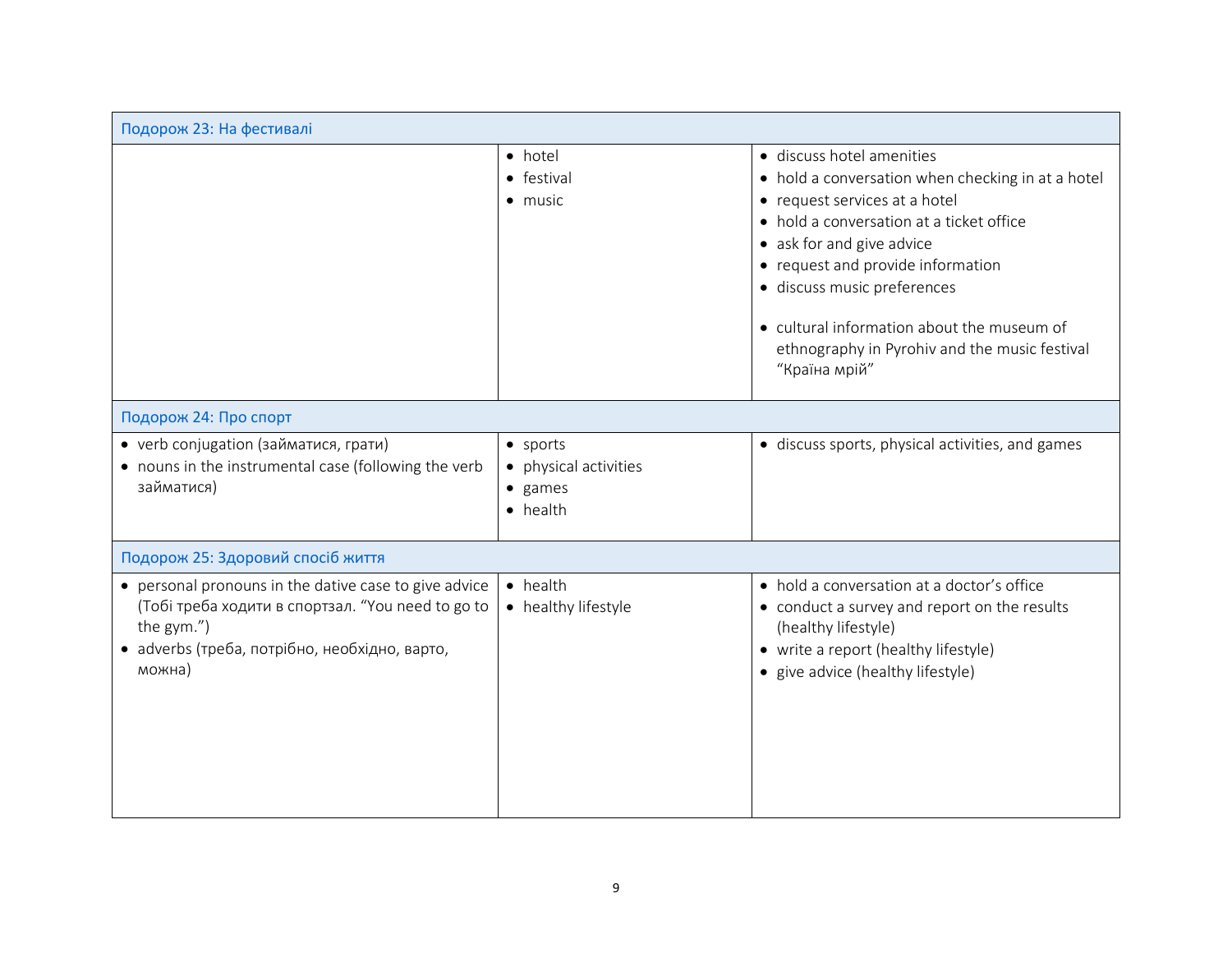| Подорож 23: На фестивалі                                                                                                                                                            |                                                                                  |                                                                                                                                                                                                                                                                                                                                                                              |
|-------------------------------------------------------------------------------------------------------------------------------------------------------------------------------------|----------------------------------------------------------------------------------|------------------------------------------------------------------------------------------------------------------------------------------------------------------------------------------------------------------------------------------------------------------------------------------------------------------------------------------------------------------------------|
|                                                                                                                                                                                     | • hotel<br>• festival<br>$\bullet$ music                                         | · discuss hotel amenities<br>• hold a conversation when checking in at a hotel<br>• request services at a hotel<br>• hold a conversation at a ticket office<br>• ask for and give advice<br>• request and provide information<br>· discuss music preferences<br>• cultural information about the museum of<br>ethnography in Pyrohiv and the music festival<br>"Країна мрій" |
| Подорож 24: Про спорт                                                                                                                                                               |                                                                                  |                                                                                                                                                                                                                                                                                                                                                                              |
| • verb conjugation (займатися, грати)<br>• nouns in the instrumental case (following the verb<br>займатися)                                                                         | $\bullet$ sports<br>• physical activities<br>$\bullet$ games<br>$\bullet$ health | · discuss sports, physical activities, and games                                                                                                                                                                                                                                                                                                                             |
| Подорож 25: Здоровий спосіб життя                                                                                                                                                   |                                                                                  |                                                                                                                                                                                                                                                                                                                                                                              |
| • personal pronouns in the dative case to give advice<br>(Тобі треба ходити в спортзал. "You need to go to<br>the gym.")<br>• adverbs (треба, потрібно, необхідно, варто,<br>можна) | • health<br>• healthy lifestyle                                                  | • hold a conversation at a doctor's office<br>• conduct a survey and report on the results<br>(healthy lifestyle)<br>• write a report (healthy lifestyle)<br>• give advice (healthy lifestyle)                                                                                                                                                                               |